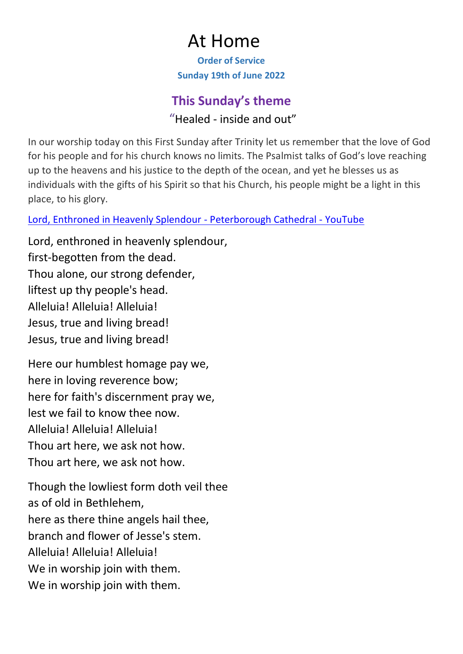# At Home

**Order of Service Sunday 19th of June 2022**

## **This Sunday's theme**

"Healed - inside and out"

In our worship today on this First Sunday after Trinity let us remember that the love of God for his people and for his church knows no limits. The Psalmist talks of God's love reaching up to the heavens and his justice to the depth of the ocean, and yet he blesses us as individuals with the gifts of his Spirit so that his Church, his people might be a light in this place, to his glory.

[Lord, Enthroned in Heavenly Splendour -](https://www.youtube.com/watch?v=OV9wUIZJFAA) Peterborough Cathedral - YouTube

Lord, enthroned in heavenly splendour, first-begotten from the dead. Thou alone, our strong defender, liftest up thy people's head. Alleluia! Alleluia! Alleluia! Jesus, true and living bread! Jesus, true and living bread!

Here our humblest homage pay we, here in loving reverence bow; here for faith's discernment pray we, lest we fail to know thee now. Alleluia! Alleluia! Alleluia! Thou art here, we ask not how. Thou art here, we ask not how.

Though the lowliest form doth veil thee as of old in Bethlehem, here as there thine angels hail thee, branch and flower of Jesse's stem. Alleluia! Alleluia! Alleluia! We in worship join with them. We in worship join with them.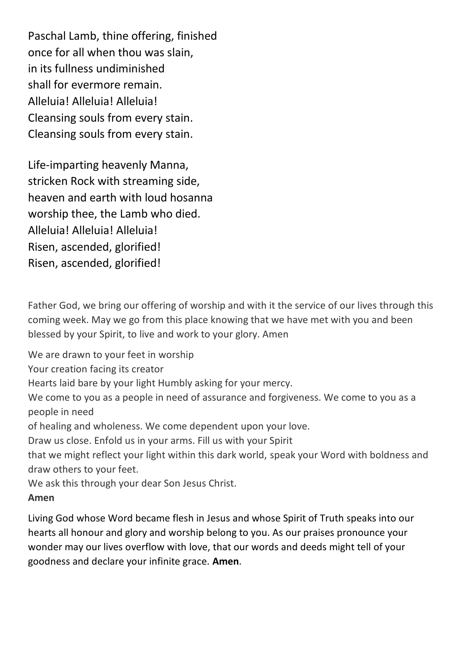Paschal Lamb, thine offering, finished once for all when thou was slain, in its fullness undiminished shall for evermore remain. Alleluia! Alleluia! Alleluia! Cleansing souls from every stain. Cleansing souls from every stain.

Life-imparting heavenly Manna, stricken Rock with streaming side, heaven and earth with loud hosanna worship thee, the Lamb who died. Alleluia! Alleluia! Alleluia! Risen, ascended, glorified! Risen, ascended, glorified!

Father God, we bring our offering of worship and with it the service of our lives through this coming week. May we go from this place knowing that we have met with you and been blessed by your Spirit, to live and work to your glory. Amen

We are drawn to your feet in worship

Your creation facing its creator

Hearts laid bare by your light Humbly asking for your mercy.

We come to you as a people in need of assurance and forgiveness. We come to you as a people in need

of healing and wholeness. We come dependent upon your love.

Draw us close. Enfold us in your arms. Fill us with your Spirit

that we might reflect your light within this dark world, speak your Word with boldness and draw others to your feet.

We ask this through your dear Son Jesus Christ.

#### **Amen**

Living God whose Word became flesh in Jesus and whose Spirit of Truth speaks into our hearts all honour and glory and worship belong to you. As our praises pronounce your wonder may our lives overflow with love, that our words and deeds might tell of your goodness and declare your infinite grace. **Amen**.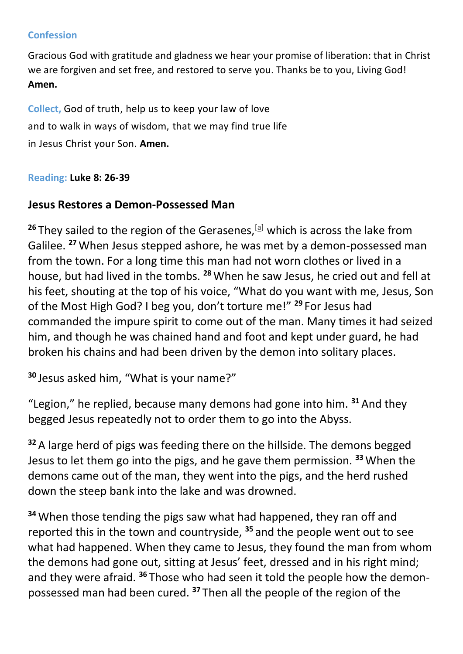#### **Confession**

Gracious God with gratitude and gladness we hear your promise of liberation: that in Christ we are forgiven and set free, and restored to serve you. Thanks be to you, Living God! **Amen.**

**Collect,** God of truth, help us to keep your law of love and to walk in ways of wisdom, that we may find true life in Jesus Christ your Son. **Amen.**

#### **Reading: Luke 8: 26-39**

#### **Jesus Restores a Demon-Possessed Man**

<sup>26</sup> They sailed to the region of the Gerasenes,<sup>[\[a\]](about:blank#fen-NIV-25272a)</sup> which is across the lake from Galilee. **<sup>27</sup>**When Jesus stepped ashore, he was met by a demon-possessed man from the town. For a long time this man had not worn clothes or lived in a house, but had lived in the tombs. **<sup>28</sup>**When he saw Jesus, he cried out and fell at his feet, shouting at the top of his voice, "What do you want with me, Jesus, Son of the Most High God? I beg you, don't torture me!" **<sup>29</sup>** For Jesus had commanded the impure spirit to come out of the man. Many times it had seized him, and though he was chained hand and foot and kept under guard, he had broken his chains and had been driven by the demon into solitary places.

```
30 Jesus asked him, "What is your name?"
```
"Legion," he replied, because many demons had gone into him. **<sup>31</sup>**And they begged Jesus repeatedly not to order them to go into the Abyss.

**<sup>32</sup>**A large herd of pigs was feeding there on the hillside. The demons begged Jesus to let them go into the pigs, and he gave them permission. **<sup>33</sup>**When the demons came out of the man, they went into the pigs, and the herd rushed down the steep bank into the lake and was drowned.

**<sup>34</sup>**When those tending the pigs saw what had happened, they ran off and reported this in the town and countryside, **<sup>35</sup>** and the people went out to see what had happened. When they came to Jesus, they found the man from whom the demons had gone out, sitting at Jesus' feet, dressed and in his right mind; and they were afraid. **<sup>36</sup>** Those who had seen it told the people how the demonpossessed man had been cured. **<sup>37</sup>** Then all the people of the region of the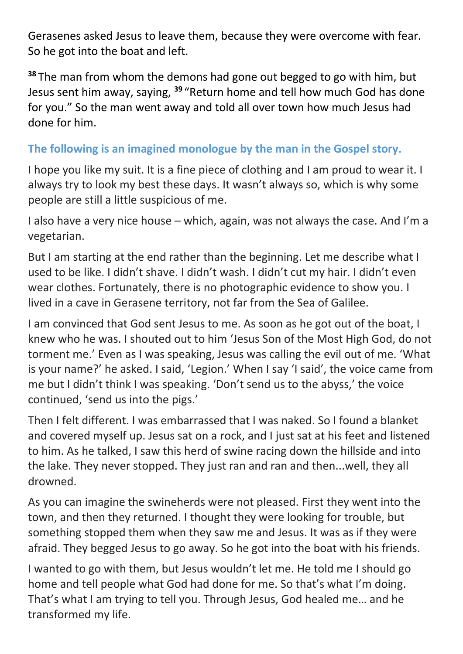Gerasenes asked Jesus to leave them, because they were overcome with fear. So he got into the boat and left.

**<sup>38</sup>** The man from whom the demons had gone out begged to go with him, but Jesus sent him away, saying, **<sup>39</sup>** "Return home and tell how much God has done for you." So the man went away and told all over town how much Jesus had done for him.

### **The following is an imagined monologue by the man in the Gospel story.**

I hope you like my suit. It is a fine piece of clothing and I am proud to wear it. I always try to look my best these days. It wasn't always so, which is why some people are still a little suspicious of me.

I also have a very nice house – which, again, was not always the case. And I'm a vegetarian.

But I am starting at the end rather than the beginning. Let me describe what I used to be like. I didn't shave. I didn't wash. I didn't cut my hair. I didn't even wear clothes. Fortunately, there is no photographic evidence to show you. I lived in a cave in Gerasene territory, not far from the Sea of Galilee.

I am convinced that God sent Jesus to me. As soon as he got out of the boat, I knew who he was. I shouted out to him 'Jesus Son of the Most High God, do not torment me.' Even as I was speaking, Jesus was calling the evil out of me. 'What is your name?' he asked. I said, 'Legion.' When I say 'I said', the voice came from me but I didn't think I was speaking. 'Don't send us to the abyss,' the voice continued, 'send us into the pigs.'

Then I felt different. I was embarrassed that I was naked. So I found a blanket and covered myself up. Jesus sat on a rock, and I just sat at his feet and listened to him. As he talked, I saw this herd of swine racing down the hillside and into the lake. They never stopped. They just ran and ran and then...well, they all drowned.

As you can imagine the swineherds were not pleased. First they went into the town, and then they returned. I thought they were looking for trouble, but something stopped them when they saw me and Jesus. It was as if they were afraid. They begged Jesus to go away. So he got into the boat with his friends.

I wanted to go with them, but Jesus wouldn't let me. He told me I should go home and tell people what God had done for me. So that's what I'm doing. That's what I am trying to tell you. Through Jesus, God healed me… and he transformed my life.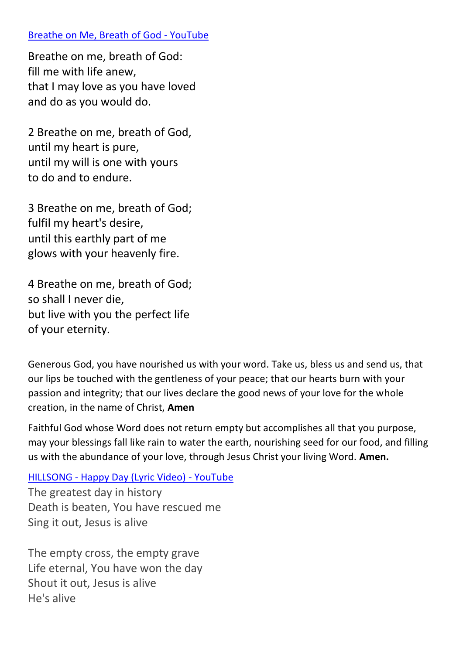#### Breathe on Me, Breath of God - YouTube

Breathe on me, breath of God: fill me with life anew, that I may love as you have loved and do as you would do.

2 Breathe on me, breath of God, until my heart is pure, until my will is one with yours to do and to endure.

3 Breathe on me, breath of God; fulfil my heart's desire, until this earthly part of me glows with your heavenly fire.

4 Breathe on me, breath of God; so shall I never die, but live with you the perfect life of your eternity.

Generous God, you have nourished us with your word. Take us, bless us and send us, that our lips be touched with the gentleness of your peace; that our hearts burn with your passion and integrity; that our lives declare the good news of your love for the whole creation, in the name of Christ, **Amen**

Faithful God whose Word does not return empty but accomplishes all that you purpose, may your blessings fall like rain to water the earth, nourishing seed for our food, and filling us with the abundance of your love, through Jesus Christ your living Word. **Amen.**

HILLSONG - Happy Day (Lyric Video) - YouTube The greatest day in history Death is beaten, You have rescued me Sing it out, Jesus is alive

The empty cross, the empty grave Life eternal, You have won the day Shout it out, Jesus is alive He's alive